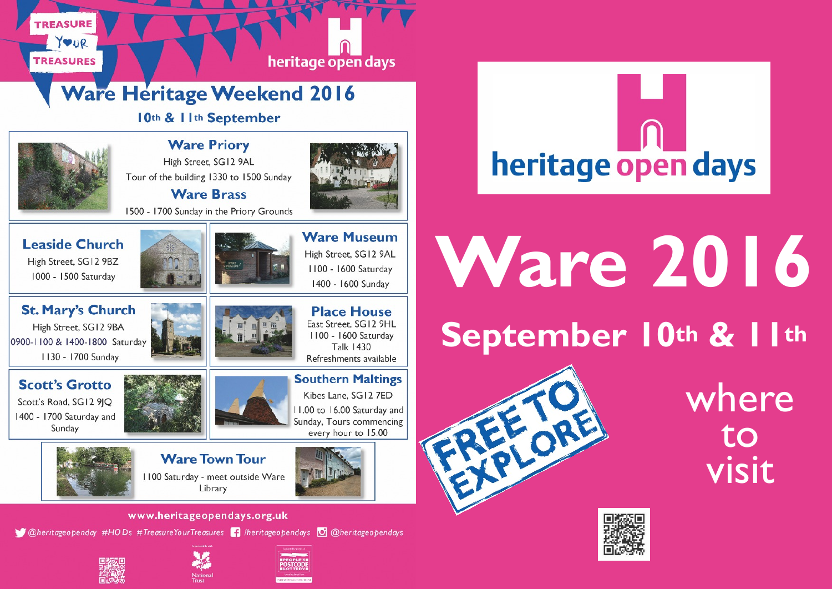